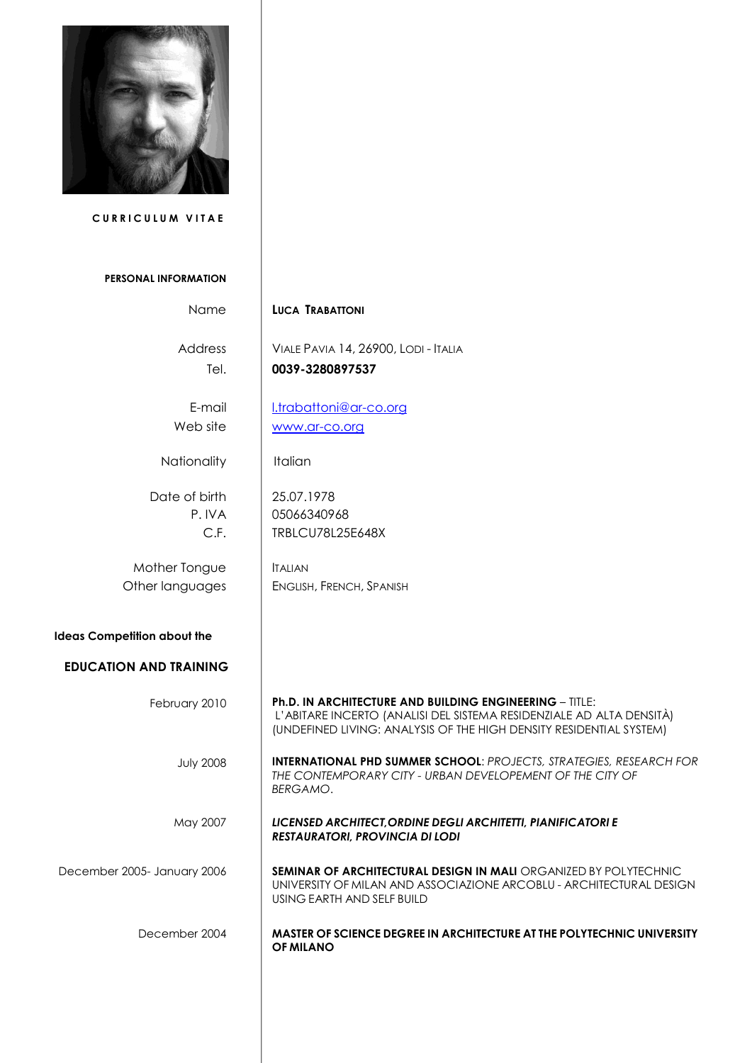

 **C U R R I C U L U M V I T A E**

## **PERSONAL INFORMATION**

| Name                               | <b>LUCA TRABATTONI</b>                                                                                                                                                                                        |
|------------------------------------|---------------------------------------------------------------------------------------------------------------------------------------------------------------------------------------------------------------|
| Address<br>Tel.                    | VIALE PAVIA 14, 26900, LODI - ITALIA<br>0039-3280897537                                                                                                                                                       |
| E-mail<br>Web site                 | I.trabattoni@ar-co.org<br>www.ar-co.org                                                                                                                                                                       |
| Nationality                        | <b>Italian</b>                                                                                                                                                                                                |
| Date of birth<br>P.IVA<br>C.F.     | 25.07.1978<br>05066340968<br><b>TRBLCU78L25E648X</b>                                                                                                                                                          |
| Mother Tongue<br>Other languages   | <b>ITALIAN</b><br>ENGLISH, FRENCH, SPANISH                                                                                                                                                                    |
| <b>Ideas Competition about the</b> |                                                                                                                                                                                                               |
| <b>EDUCATION AND TRAINING</b>      |                                                                                                                                                                                                               |
| February 2010                      | <b>Ph.D. IN ARCHITECTURE AND BUILDING ENGINEERING - TITLE:</b><br>L'ABITARE INCERTO (ANALISI DEL SISTEMA RESIDENZIALE AD ALTA DENSITÀ)<br>(UNDEFINED LIVING: ANALYSIS OF THE HIGH DENSITY RESIDENTIAL SYSTEM) |
| <b>July 2008</b>                   | <b>INTERNATIONAL PHD SUMMER SCHOOL: PROJECTS, STRATEGIES, RESEARCH FOR</b><br>THE CONTEMPORARY CITY - URBAN DEVELOPEMENT OF THE CITY OF<br><b>BERGAMO.</b>                                                    |
| May 2007                           | LICENSED ARCHITECT, ORDINE DEGLI ARCHITETTI, PIANIFICATORI E<br><b>RESTAURATORI, PROVINCIA DI LODI</b>                                                                                                        |
| December 2005- January 2006        | <b>SEMINAR OF ARCHITECTURAL DESIGN IN MALI ORGANIZED BY POLYTECHNIC</b><br>UNIVERSITY OF MILAN AND ASSOCIAZIONE ARCOBLU - ARCHITECTURAL DESIGN<br>USING EARTH AND SELF BUILD                                  |
| December 2004                      | <b>MASTER OF SCIENCE DEGREE IN ARCHITECTURE AT THE POLYTECHNIC UNIVERSITY</b><br><b>OF MILANO</b>                                                                                                             |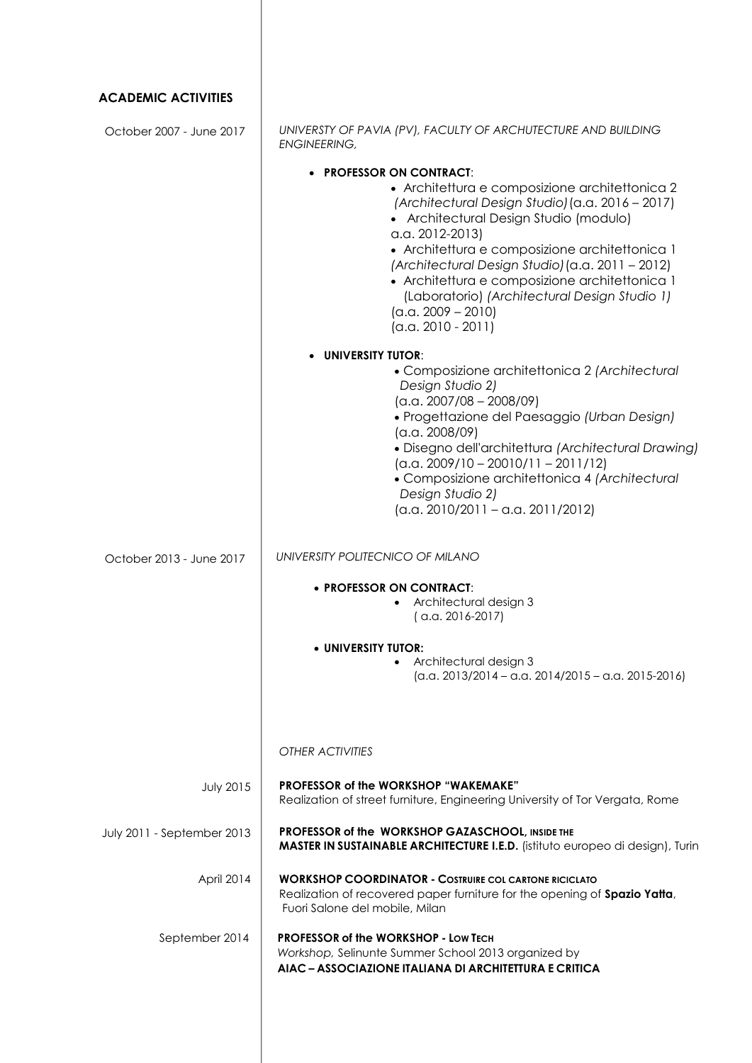| <b>ACADEMIC ACTIVITIES</b> |                                                                                                                                                                                                                                                                                                                                                                                                                                                            |
|----------------------------|------------------------------------------------------------------------------------------------------------------------------------------------------------------------------------------------------------------------------------------------------------------------------------------------------------------------------------------------------------------------------------------------------------------------------------------------------------|
| October 2007 - June 2017   | UNIVERSTY OF PAVIA (PV), FACULTY OF ARCHUTECTURE AND BUILDING<br><b>ENGINEERING,</b>                                                                                                                                                                                                                                                                                                                                                                       |
|                            | <b>PROFESSOR ON CONTRACT:</b><br>• Architettura e composizione architettonica 2<br>(Architectural Design Studio) (a.a. 2016 - 2017)<br>• Architectural Design Studio (modulo)<br>$a.a. 2012-2013$<br>• Architettura e composizione architettonica 1<br>(Architectural Design Studio) (a.a. 2011 - 2012)<br>• Architettura e composizione architettonica 1<br>(Laboratorio) (Architectural Design Studio 1)<br>$(a.a. 2009 - 2010)$<br>$(a.a. 2010 - 2011)$ |
|                            | <b>UNIVERSITY TUTOR:</b>                                                                                                                                                                                                                                                                                                                                                                                                                                   |
|                            | • Composizione architettonica 2 (Architectural<br>Design Studio 2)<br>$(a.a. 2007/08 - 2008/09)$<br>· Progettazione del Paesaggio (Urban Design)<br>(a.a. 2008/09)<br>· Disegno dell'architettura (Architectural Drawing)<br>$(a.a. 2009/10 - 20010/11 - 2011/12)$<br>• Composizione architettonica 4 (Architectural<br>Design Studio 2)<br>$(a.a. 2010/2011 - a.a. 2011/2012)$                                                                            |
| October 2013 - June 2017   | UNIVERSITY POLITECNICO OF MILANO                                                                                                                                                                                                                                                                                                                                                                                                                           |
|                            | • PROFESSOR ON CONTRACT:<br>Architectural design 3<br>$(a.a. 2016-2017)$                                                                                                                                                                                                                                                                                                                                                                                   |
|                            | • UNIVERSITY TUTOR:<br>Architectural design 3<br>$\bullet$<br>$(a.a. 2013/2014 - a.a. 2014/2015 - a.a. 2015-2016)$                                                                                                                                                                                                                                                                                                                                         |
|                            | <b>OTHER ACTIVITIES</b>                                                                                                                                                                                                                                                                                                                                                                                                                                    |
| <b>July 2015</b>           | PROFESSOR of the WORKSHOP "WAKEMAKE"<br>Realization of street furniture, Engineering University of Tor Vergata, Rome                                                                                                                                                                                                                                                                                                                                       |
| July 2011 - September 2013 | PROFESSOR of the WORKSHOP GAZASCHOOL, INSIDE THE<br>MASTER IN SUSTAINABLE ARCHITECTURE I.E.D. (istituto europeo di design), Turin                                                                                                                                                                                                                                                                                                                          |
| April 2014                 | <b>WORKSHOP COORDINATOR - COSTRUIRE COL CARTONE RICICLATO</b><br>Realization of recovered paper furniture for the opening of Spazio Yatta,<br>Fuori Salone del mobile, Milan                                                                                                                                                                                                                                                                               |
| September 2014             | <b>PROFESSOR of the WORKSHOP - LOW TECH</b><br>Workshop, Selinunte Summer School 2013 organized by<br>AIAC - ASSOCIAZIONE ITALIANA DI ARCHITETTURA E CRITICA                                                                                                                                                                                                                                                                                               |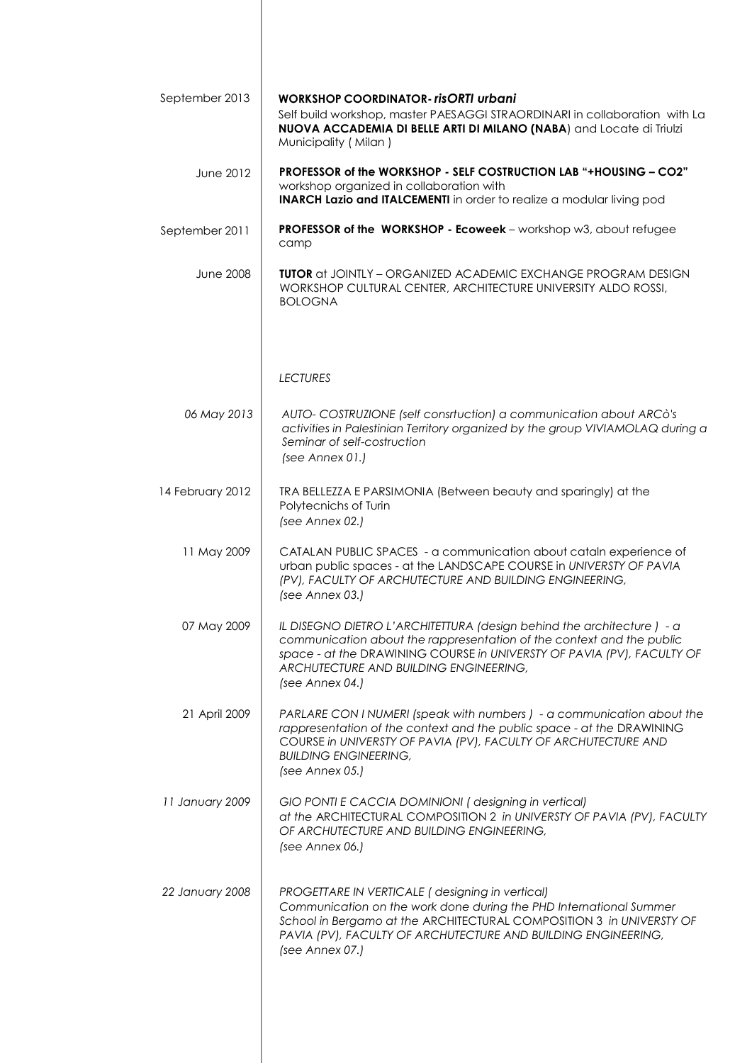| September 2013   | <b>WORKSHOP COORDINATOR-risORTI urbani</b><br>Self build workshop, master PAESAGGI STRAORDINARI in collaboration with La<br>NUOVA ACCADEMIA DI BELLE ARTI DI MILANO (NABA) and Locate di Triulzi<br>Municipality (Milan)                                                              |
|------------------|---------------------------------------------------------------------------------------------------------------------------------------------------------------------------------------------------------------------------------------------------------------------------------------|
| <b>June 2012</b> | <b>PROFESSOR of the WORKSHOP - SELF COSTRUCTION LAB "+HOUSING - CO2"</b><br>workshop organized in collaboration with<br><b>INARCH Lazio and ITALCEMENTI</b> in order to realize a modular living pod                                                                                  |
| September 2011   | PROFESSOR of the WORKSHOP - Ecoweek - workshop w3, about refugee<br>camp                                                                                                                                                                                                              |
| <b>June 2008</b> | <b>TUTOR</b> at JOINTLY - ORGANIZED ACADEMIC EXCHANGE PROGRAM DESIGN<br>WORKSHOP CULTURAL CENTER, ARCHITECTURE UNIVERSITY ALDO ROSSI,<br><b>BOLOGNA</b>                                                                                                                               |
|                  | <b>LECTURES</b>                                                                                                                                                                                                                                                                       |
| 06 May 2013      | AUTO- COSTRUZIONE (self consrtuction) a communication about ARCò's<br>activities in Palestinian Territory organized by the group VIVIAMOLAQ during a<br>Seminar of self-costruction<br>(see Annex 01.)                                                                                |
| 14 February 2012 | TRA BELLEZZA E PARSIMONIA (Between beauty and sparingly) at the<br>Polytecnichs of Turin<br>(see Annex 02.)                                                                                                                                                                           |
| 11 May 2009      | CATALAN PUBLIC SPACES - a communication about cataln experience of<br>urban public spaces - at the LANDSCAPE COURSE in UNIVERSTY OF PAVIA<br>(PV), FACULTY OF ARCHUTECTURE AND BUILDING ENGINEERING,<br>(see Annex 03.)                                                               |
| 07 May 2009      | IL DISEGNO DIETRO L'ARCHITETTURA (design behind the architecture) - a<br>communication about the rappresentation of the context and the public<br>space - at the DRAWINING COURSE in UNIVERSTY OF PAVIA (PV), FACULTY OF<br>ARCHUTECTURE AND BUILDING ENGINEERING,<br>(see Annex 04.) |
| 21 April 2009    | PARLARE CON I NUMERI (speak with numbers) - a communication about the<br>rappresentation of the context and the public space - at the DRAWINING<br>COURSE in UNIVERSTY OF PAVIA (PV), FACULTY OF ARCHUTECTURE AND<br><b>BUILDING ENGINEERING,</b><br>(see Annex 05.)                  |
| 11 January 2009  | GIO PONTI E CACCIA DOMINIONI (designing in vertical)<br>at the ARCHITECTURAL COMPOSITION 2 in UNIVERSTY OF PAVIA (PV), FACULTY<br>OF ARCHUTECTURE AND BUILDING ENGINEERING,<br>(see Annex 06.)                                                                                        |
| 22 January 2008  | PROGETTARE IN VERTICALE (designing in vertical)<br>Communication on the work done during the PHD International Summer<br>School in Bergamo at the ARCHITECTURAL COMPOSITION 3 in UNIVERSTY OF<br>PAVIA (PV), FACULTY OF ARCHUTECTURE AND BUILDING ENGINEERING,<br>(see Annex 07.)     |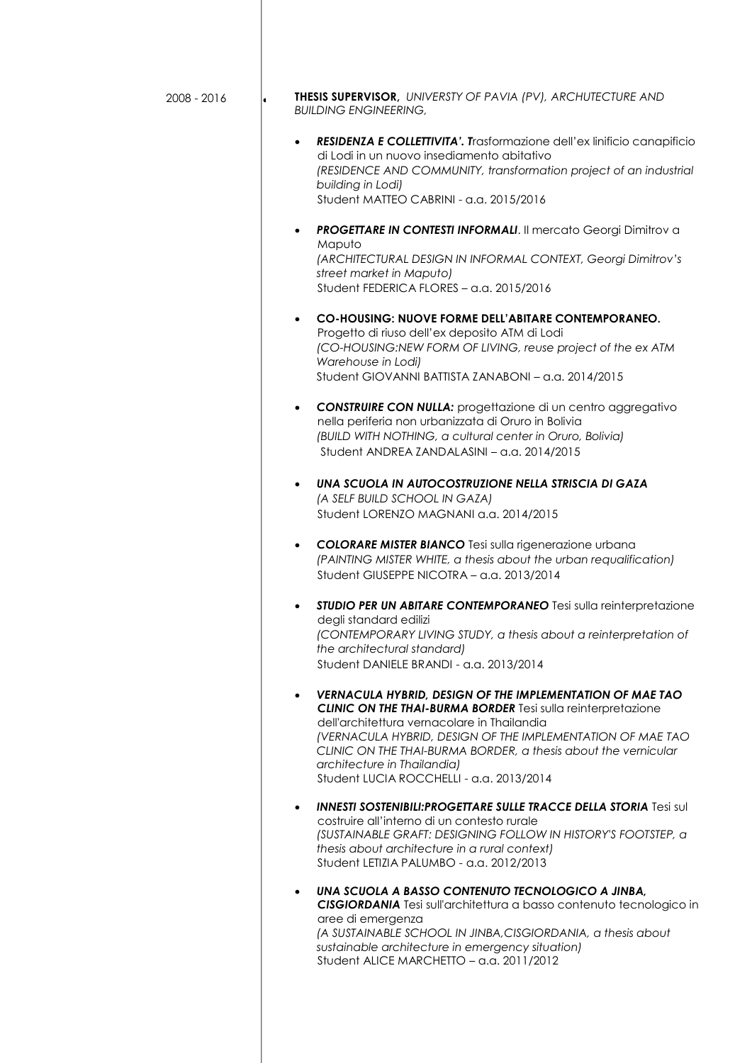| 2008 - 2016 | <b>THESIS SUPERVISOR, UNIVERSTY OF PAVIA (PV), ARCHUTECTURE AND</b><br>$\bullet$<br><b>BUILDING ENGINEERING,</b>                                                                                                                                                                                                                                                                                               |
|-------------|----------------------------------------------------------------------------------------------------------------------------------------------------------------------------------------------------------------------------------------------------------------------------------------------------------------------------------------------------------------------------------------------------------------|
|             | RESIDENZA E COLLETTIVITA'. Trasformazione dell'ex linificio canapificio<br>$\bullet$<br>di Lodi in un nuovo insediamento abitativo<br>(RESIDENCE AND COMMUNITY, transformation project of an industrial<br>building in Lodi)<br>Student MATTEO CABRINI - a.a. 2015/2016                                                                                                                                        |
|             | <b>PROGETTARE IN CONTESTI INFORMALI. Il mercato Georgi Dimitrov a</b><br>Maputo<br>(ARCHITECTURAL DESIGN IN INFORMAL CONTEXT, Georgi Dimitrov's<br>street market in Maputo)<br>Student FEDERICA FLORES - a.a. 2015/2016                                                                                                                                                                                        |
|             | CO-HOUSING: NUOVE FORME DELL'ABITARE CONTEMPORANEO.<br>$\bullet$<br>Progetto di riuso dell'ex deposito ATM di Lodi<br>(CO-HOUSING:NEW FORM OF LIVING, reuse project of the ex ATM<br>Warehouse in Lodi)<br>Student GIOVANNI BATTISTA ZANABONI - a.a. 2014/2015                                                                                                                                                 |
|             | <b>CONSTRUIRE CON NULLA:</b> progettazione di un centro aggregativo<br>$\bullet$<br>nella periferia non urbanizzata di Oruro in Bolivia<br>(BUILD WITH NOTHING, a cultural center in Oruro, Bolivia)<br>Student ANDREA ZANDALASINI - a.a. 2014/2015                                                                                                                                                            |
|             | UNA SCUOLA IN AUTOCOSTRUZIONE NELLA STRISCIA DI GAZA<br>$\bullet$<br>(A SELF BUILD SCHOOL IN GAZA)<br>Student LORENZO MAGNANI a.a. 2014/2015                                                                                                                                                                                                                                                                   |
|             | <b>COLORARE MISTER BIANCO</b> Tesi sulla rigenerazione urbana<br>$\bullet$<br>(PAINTING MISTER WHITE, a thesis about the urban requalification)<br>Student GIUSEPPE NICOTRA - a.a. 2013/2014                                                                                                                                                                                                                   |
|             | STUDIO PER UN ABITARE CONTEMPORANEO Tesi sulla reinterpretazione<br>٠<br>degli standard edilizi<br>(CONTEMPORARY LIVING STUDY, a thesis about a reinterpretation of<br>the architectural standard)<br>Student DANIELE BRANDI - a.a. 2013/2014                                                                                                                                                                  |
|             | <b>VERNACULA HYBRID, DESIGN OF THE IMPLEMENTATION OF MAE TAO</b><br>$\bullet$<br><b>CLINIC ON THE THAI-BURMA BORDER Tesi sulla reinterpretazione</b><br>dell'architettura vernacolare in Thailandia<br>(VERNACULA HYBRID, DESIGN OF THE IMPLEMENTATION OF MAE TAO<br>CLINIC ON THE THAI-BURMA BORDER, a thesis about the vernicular<br>architecture in Thailandia)<br>Student LUCIA ROCCHELLI - a.a. 2013/2014 |
|             | <b>INNESTI SOSTENIBILI: PROGETTARE SULLE TRACCE DELLA STORIA Tesi sul</b><br>costruire all'interno di un contesto rurale<br>(SUSTAINABLE GRAFT: DESIGNING FOLLOW IN HISTORY'S FOOTSTEP, a<br>thesis about architecture in a rural context)<br>Student LETIZIA PALUMBO - a.a. 2012/2013                                                                                                                         |
|             | UNA SCUOLA A BASSO CONTENUTO TECNOLOGICO A JINBA,<br>$\bullet$<br>CISGIORDANIA Tesi sull'architettura a basso contenuto tecnologico in<br>aree di emergenza<br>(A SUSTAINABLE SCHOOL IN JINBA, CISGIORDANIA, a thesis about<br>sustainable architecture in emergency situation)<br>Student ALICE MARCHETTO - a.a. 2011/2012                                                                                    |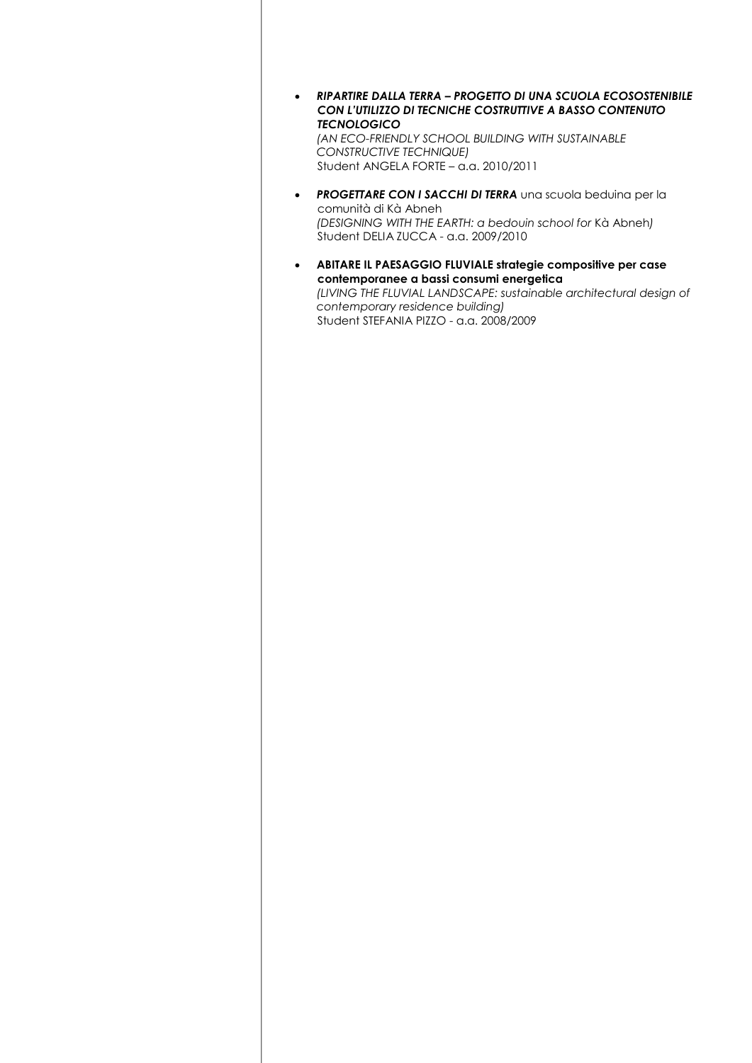*RIPARTIRE DALLA TERRA – PROGETTO DI UNA SCUOLA ECOSOSTENIBILE CON L'UTILIZZO DI TECNICHE COSTRUTTIVE A BASSO CONTENUTO TECNOLOGICO*

*(AN ECO-FRIENDLY SCHOOL BUILDING WITH SUSTAINABLE CONSTRUCTIVE TECHNIQUE)* Student ANGELA FORTE – a.a. 2010/2011

- **PROGETTARE CON I SACCHI DI TERRA** una scuola beduina per la comunità di Kà Abneh *(DESIGNING WITH THE EARTH: a bedouin school for* Kà Abneh*)* Student DELIA ZUCCA - a.a. 2009/2010
- **ABITARE IL PAESAGGIO FLUVIALE strategie compositive per case contemporanee a bassi consumi energetica**  *(LIVING THE FLUVIAL LANDSCAPE: sustainable architectural design of contemporary residence building)* Student STEFANIA PIZZO - a.a. 2008/2009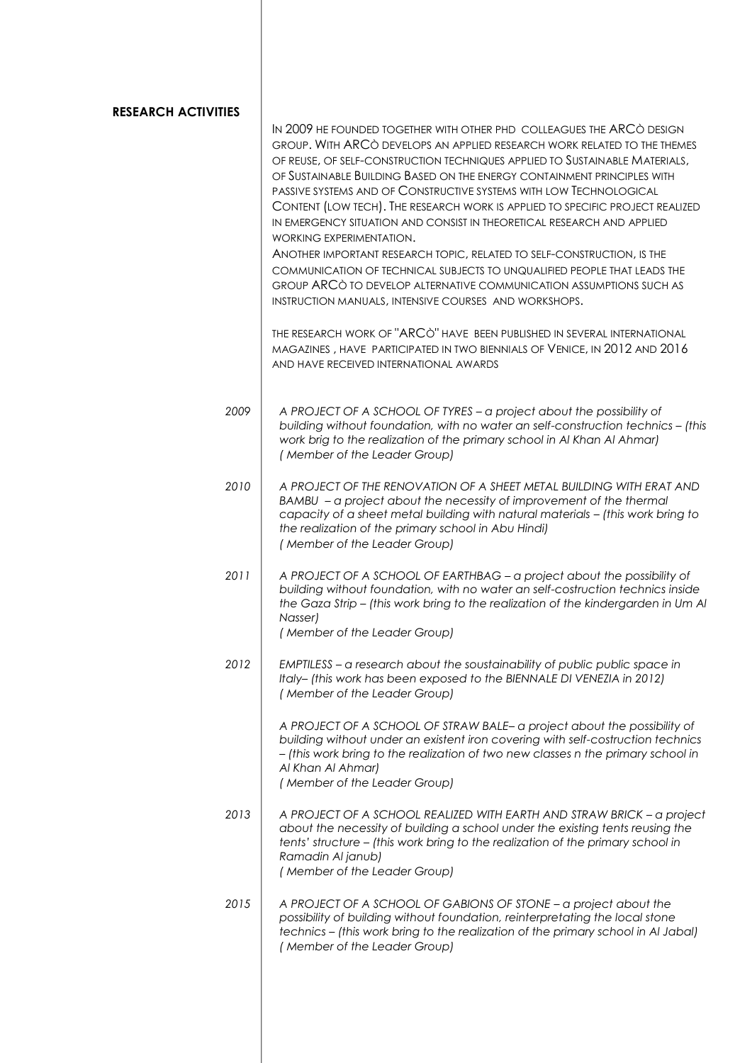| RESEARCH ACTIVITIES | IN 2009 HE FOUNDED TOGETHER WITH OTHER PHD COLLEAGUES THE ARCO DESIGN<br>GROUP. WITH ARCO DEVELOPS AN APPLIED RESEARCH WORK RELATED TO THE THEMES<br>OF REUSE, OF SELF-CONSTRUCTION TECHNIQUES APPLIED TO SUSTAINABLE MATERIALS,<br>OF SUSTAINABLE BUILDING BASED ON THE ENERGY CONTAINMENT PRINCIPLES WITH<br>PASSIVE SYSTEMS AND OF CONSTRUCTIVE SYSTEMS WITH LOW TECHNOLOGICAL<br>CONTENT (LOW TECH). THE RESEARCH WORK IS APPLIED TO SPECIFIC PROJECT REALIZED<br>IN EMERGENCY SITUATION AND CONSIST IN THEORETICAL RESEARCH AND APPLIED<br>WORKING EXPERIMENTATION.<br>ANOTHER IMPORTANT RESEARCH TOPIC, RELATED TO SELF-CONSTRUCTION, IS THE<br>COMMUNICATION OF TECHNICAL SUBJECTS TO UNQUALIFIED PEOPLE THAT LEADS THE<br>GROUP ARCÒ TO DEVELOP ALTERNATIVE COMMUNICATION ASSUMPTIONS SUCH AS<br>INSTRUCTION MANUALS, INTENSIVE COURSES AND WORKSHOPS. |
|---------------------|----------------------------------------------------------------------------------------------------------------------------------------------------------------------------------------------------------------------------------------------------------------------------------------------------------------------------------------------------------------------------------------------------------------------------------------------------------------------------------------------------------------------------------------------------------------------------------------------------------------------------------------------------------------------------------------------------------------------------------------------------------------------------------------------------------------------------------------------------------------|
|                     | THE RESEARCH WORK OF "ARCO" HAVE BEEN PUBLISHED IN SEVERAL INTERNATIONAL<br>MAGAZINES, HAVE PARTICIPATED IN TWO BIENNIALS OF VENICE, IN 2012 AND 2016<br>AND HAVE RECEIVED INTERNATIONAL AWARDS                                                                                                                                                                                                                                                                                                                                                                                                                                                                                                                                                                                                                                                                |
| 2009                | A PROJECT OF A SCHOOL OF TYRES - a project about the possibility of<br>building without foundation, with no water an self-construction technics - (this<br>work brig to the realization of the primary school in Al Khan Al Ahmar)<br>(Member of the Leader Group)                                                                                                                                                                                                                                                                                                                                                                                                                                                                                                                                                                                             |
| 2010                | A PROJECT OF THE RENOVATION OF A SHEET METAL BUILDING WITH ERAT AND<br>BAMBU - a project about the necessity of improvement of the thermal<br>capacity of a sheet metal building with natural materials - (this work bring to<br>the realization of the primary school in Abu Hindi)<br>(Member of the Leader Group)                                                                                                                                                                                                                                                                                                                                                                                                                                                                                                                                           |
| 2011                | A PROJECT OF A SCHOOL OF EARTHBAG - a project about the possibility of<br>building without foundation, with no water an self-costruction technics inside<br>the Gaza Strip - (this work bring to the realization of the kindergarden in Um Al<br>Nasser)<br>(Member of the Leader Group)                                                                                                                                                                                                                                                                                                                                                                                                                                                                                                                                                                       |
| 2012                | EMPTILESS - a research about the soustainability of public public space in<br>Italy- (this work has been exposed to the BIENNALE DI VENEZIA in 2012)<br>(Member of the Leader Group)                                                                                                                                                                                                                                                                                                                                                                                                                                                                                                                                                                                                                                                                           |
|                     | A PROJECT OF A SCHOOL OF STRAW BALE – a project about the possibility of<br>building without under an existent iron covering with self-costruction technics<br>- (this work bring to the realization of two new classes n the primary school in<br>Al Khan Al Ahmar)<br>(Member of the Leader Group)                                                                                                                                                                                                                                                                                                                                                                                                                                                                                                                                                           |
| 2013                | A PROJECT OF A SCHOOL REALIZED WITH EARTH AND STRAW BRICK - a project<br>about the necessity of building a school under the existing tents reusing the<br>tents' structure - (this work bring to the realization of the primary school in<br>Ramadin Al janub)<br>(Member of the Leader Group)                                                                                                                                                                                                                                                                                                                                                                                                                                                                                                                                                                 |
| 2015                | A PROJECT OF A SCHOOL OF GABIONS OF STONE - a project about the<br>possibility of building without foundation, reinterpretating the local stone<br>technics - (this work bring to the realization of the primary school in Al Jabal)<br>(Member of the Leader Group)                                                                                                                                                                                                                                                                                                                                                                                                                                                                                                                                                                                           |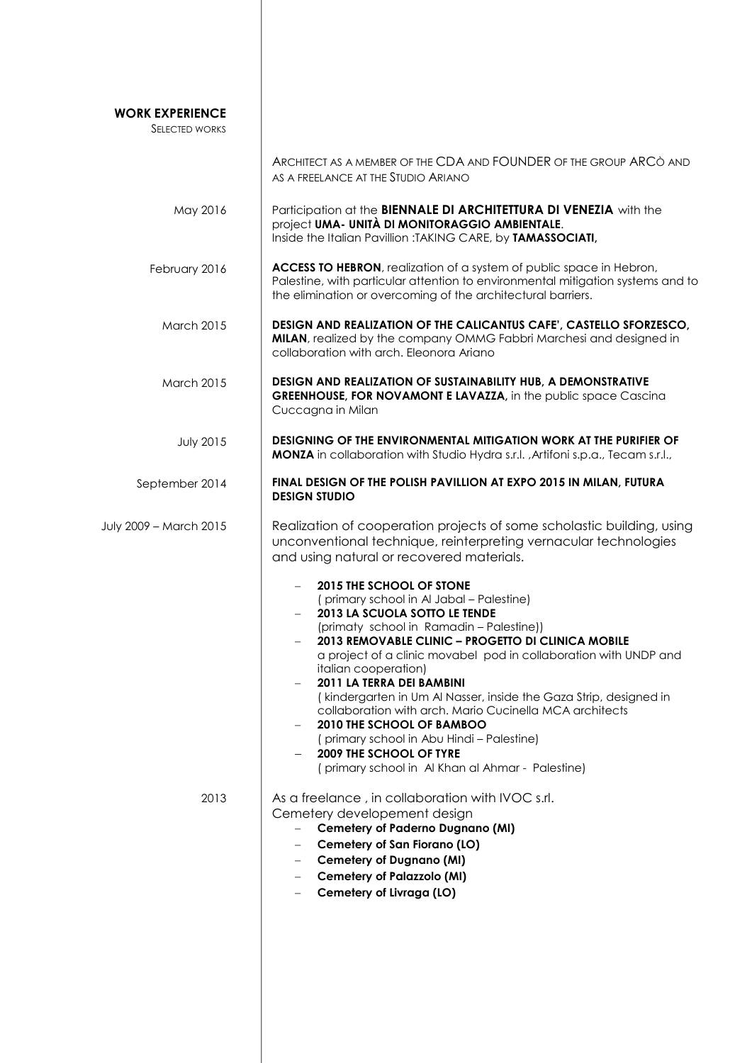| <b>WORK EXPERIENCE</b><br><b>SELECTED WORKS</b> |                                                                                                                                                                                                                                                                                                                                                                                                                                                                                                                                                                                                                                  |
|-------------------------------------------------|----------------------------------------------------------------------------------------------------------------------------------------------------------------------------------------------------------------------------------------------------------------------------------------------------------------------------------------------------------------------------------------------------------------------------------------------------------------------------------------------------------------------------------------------------------------------------------------------------------------------------------|
|                                                 | ARCHITECT AS A MEMBER OF THE CDA AND FOUNDER OF THE GROUP ARCO AND<br>AS A FREELANCE AT THE STUDIO ARIANO                                                                                                                                                                                                                                                                                                                                                                                                                                                                                                                        |
| May 2016                                        | Participation at the BIENNALE DI ARCHITETTURA DI VENEZIA with the<br>project UMA- UNITÀ DI MONITORAGGIO AMBIENTALE.<br>Inside the Italian Pavillion : TAKING CARE, by TAMASSOCIATI,                                                                                                                                                                                                                                                                                                                                                                                                                                              |
| February 2016                                   | ACCESS TO HEBRON, realization of a system of public space in Hebron,<br>Palestine, with particular attention to environmental mitigation systems and to<br>the elimination or overcoming of the architectural barriers.                                                                                                                                                                                                                                                                                                                                                                                                          |
| <b>March 2015</b>                               | DESIGN AND REALIZATION OF THE CALICANTUS CAFE', CASTELLO SFORZESCO,<br>MILAN, realized by the company OMMG Fabbri Marchesi and designed in<br>collaboration with arch. Eleonora Ariano                                                                                                                                                                                                                                                                                                                                                                                                                                           |
| <b>March 2015</b>                               | DESIGN AND REALIZATION OF SUSTAINABILITY HUB, A DEMONSTRATIVE<br><b>GREENHOUSE, FOR NOVAMONT E LAVAZZA, in the public space Cascina</b><br>Cuccagna in Milan                                                                                                                                                                                                                                                                                                                                                                                                                                                                     |
| <b>July 2015</b>                                | DESIGNING OF THE ENVIRONMENTAL MITIGATION WORK AT THE PURIFIER OF<br>MONZA in collaboration with Studio Hydra s.r.l., Artifoni s.p.a., Tecam s.r.l.,                                                                                                                                                                                                                                                                                                                                                                                                                                                                             |
| September 2014                                  | FINAL DESIGN OF THE POLISH PAVILLION AT EXPO 2015 IN MILAN, FUTURA<br><b>DESIGN STUDIO</b>                                                                                                                                                                                                                                                                                                                                                                                                                                                                                                                                       |
| July 2009 - March 2015                          | Realization of cooperation projects of some scholastic building, using<br>unconventional technique, reinterpreting vernacular technologies<br>and using natural or recovered materials.                                                                                                                                                                                                                                                                                                                                                                                                                                          |
|                                                 | 2015 THE SCHOOL OF STONE<br>(primary school in Al Jabal - Palestine)<br>2013 LA SCUOLA SOTTO LE TENDE<br>(primaty school in Ramadin - Palestine))<br>2013 REMOVABLE CLINIC - PROGETTO DI CLINICA MOBILE<br>a project of a clinic movabel pod in collaboration with UNDP and<br>italian cooperation)<br>2011 LA TERRA DEI BAMBINI<br>(kindergarten in Um Al Nasser, inside the Gaza Strip, designed in<br>collaboration with arch. Mario Cucinella MCA architects<br>2010 THE SCHOOL OF BAMBOO<br>(primary school in Abu Hindi - Palestine)<br><b>2009 THE SCHOOL OF TYRE</b><br>(primary school in Al Khan al Ahmar - Palestine) |
| 2013                                            | As a freelance, in collaboration with IVOC s.rl.<br>Cemetery developement design<br><b>Cemetery of Paderno Dugnano (MI)</b><br>Cemetery of San Fiorano (LO)<br><b>Cemetery of Dugnano (MI)</b><br><b>Cemetery of Palazzolo (MI)</b><br>Cemetery of Livraga (LO)                                                                                                                                                                                                                                                                                                                                                                  |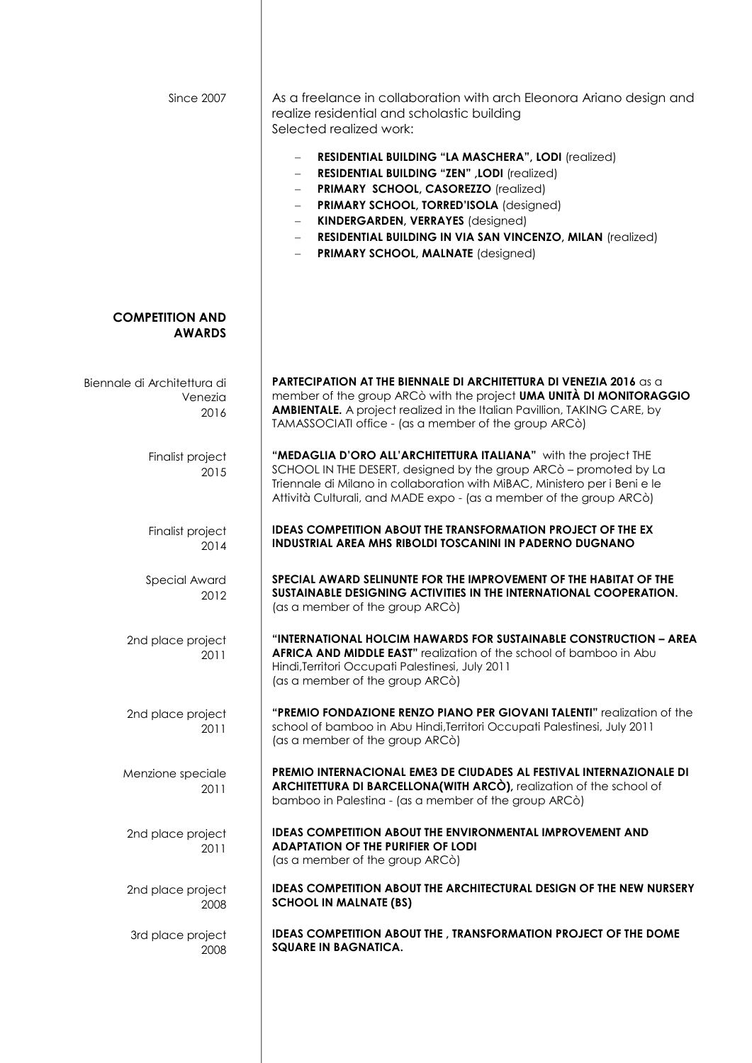| <b>Since 2007</b>                              | As a freelance in collaboration with arch Eleonora Ariano design and<br>realize residential and scholastic building<br>Selected realized work:<br>RESIDENTIAL BUILDING "LA MASCHERA", LODI (realized)<br><b>RESIDENTIAL BUILDING "ZEN", LODI (realized)</b><br>PRIMARY SCHOOL, CASOREZZO (realized)<br>PRIMARY SCHOOL, TORRED'ISOLA (designed)<br><b>KINDERGARDEN, VERRAYES (designed)</b><br>RESIDENTIAL BUILDING IN VIA SAN VINCENZO, MILAN (realized)<br>- PRIMARY SCHOOL, MALNATE (designed) |
|------------------------------------------------|--------------------------------------------------------------------------------------------------------------------------------------------------------------------------------------------------------------------------------------------------------------------------------------------------------------------------------------------------------------------------------------------------------------------------------------------------------------------------------------------------|
| <b>COMPETITION AND</b><br><b>AWARDS</b>        |                                                                                                                                                                                                                                                                                                                                                                                                                                                                                                  |
| Biennale di Architettura di<br>Venezia<br>2016 | <b>PARTECIPATION AT THE BIENNALE DI ARCHITETTURA DI VENEZIA 2016 as a</b><br>member of the group ARC <sub>Ò</sub> with the project <b>UMA UNITÀ DI MONITORAGGIO</b><br><b>AMBIENTALE.</b> A project realized in the Italian Pavillion, TAKING CARE, by<br>TAMASSOCIATI office - (as a member of the group ARCò)                                                                                                                                                                                  |
| Finalist project<br>2015                       | "MEDAGLIA D'ORO ALL'ARCHITETTURA ITALIANA" with the project THE<br>SCHOOL IN THE DESERT, designed by the group ARC <sub>Ò</sub> - promoted by La<br>Triennale di Milano in collaboration with MiBAC, Ministero per i Beni e le<br>Attività Culturali, and MADE expo - (as a member of the group ARCò)                                                                                                                                                                                            |
| Finalist project<br>2014                       | <b>IDEAS COMPETITION ABOUT THE TRANSFORMATION PROJECT OF THE EX</b><br><b>INDUSTRIAL AREA MHS RIBOLDI TOSCANINI IN PADERNO DUGNANO</b>                                                                                                                                                                                                                                                                                                                                                           |
| Special Award<br>2012                          | SPECIAL AWARD SELINUNTE FOR THE IMPROVEMENT OF THE HABITAT OF THE<br>SUSTAINABLE DESIGNING ACTIVITIES IN THE INTERNATIONAL COOPERATION.<br>(as a member of the group ARCò)                                                                                                                                                                                                                                                                                                                       |
| 2nd place project<br>2011                      | "INTERNATIONAL HOLCIM HAWARDS FOR SUSTAINABLE CONSTRUCTION - AREA<br>AFRICA AND MIDDLE EAST" realization of the school of bamboo in Abu<br>Hindi, Territori Occupati Palestinesi, July 2011<br>(as a member of the group ARCò)                                                                                                                                                                                                                                                                   |
| 2nd place project<br>2011                      | "PREMIO FONDAZIONE RENZO PIANO PER GIOVANI TALENTI" realization of the<br>school of bamboo in Abu Hindi, Territori Occupati Palestinesi, July 2011<br>(as a member of the group ARCò)                                                                                                                                                                                                                                                                                                            |
| Menzione speciale<br>2011                      | PREMIO INTERNACIONAL EME3 DE CIUDADES AL FESTIVAL INTERNAZIONALE DI<br>ARCHITETTURA DI BARCELLONA(WITH ARCÒ), realization of the school of<br>bamboo in Palestina - (as a member of the group ARCò)                                                                                                                                                                                                                                                                                              |
| 2nd place project<br>2011                      | <b>IDEAS COMPETITION ABOUT THE ENVIRONMENTAL IMPROVEMENT AND</b><br><b>ADAPTATION OF THE PURIFIER OF LODI</b><br>(as a member of the group ARCò)                                                                                                                                                                                                                                                                                                                                                 |
| 2nd place project<br>2008                      | <b>IDEAS COMPETITION ABOUT THE ARCHITECTURAL DESIGN OF THE NEW NURSERY</b><br><b>SCHOOL IN MALNATE (BS)</b>                                                                                                                                                                                                                                                                                                                                                                                      |
| 3rd place project<br>2008                      | <b>IDEAS COMPETITION ABOUT THE, TRANSFORMATION PROJECT OF THE DOME</b><br><b>SQUARE IN BAGNATICA.</b>                                                                                                                                                                                                                                                                                                                                                                                            |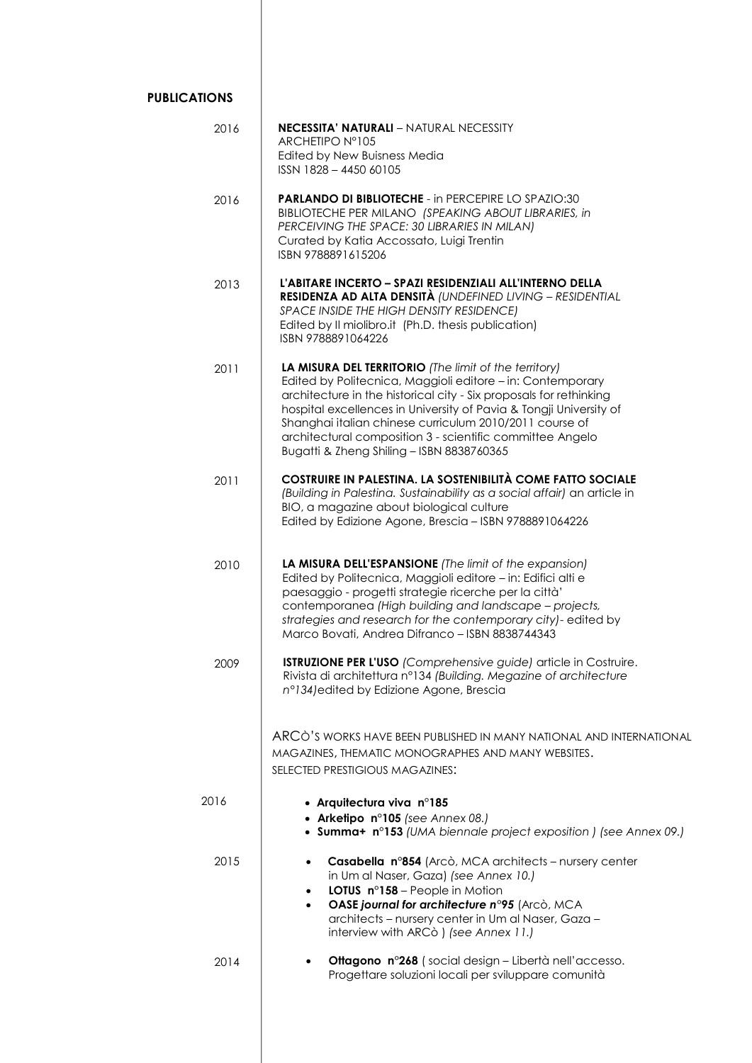| <b>PUBLICATIONS</b> |                                                                                                                                                                                                                                                                                                                                                                                                                                      |
|---------------------|--------------------------------------------------------------------------------------------------------------------------------------------------------------------------------------------------------------------------------------------------------------------------------------------------------------------------------------------------------------------------------------------------------------------------------------|
| 2016                | <b>NECESSITA' NATURALI - NATURAL NECESSITY</b><br>ARCHETIPO Nº105<br>Edited by New Buisness Media<br>ISSN 1828 - 4450 60105                                                                                                                                                                                                                                                                                                          |
| 2016                | <b>PARLANDO DI BIBLIOTECHE - in PERCEPIRE LO SPAZIO:30</b><br>BIBLIOTECHE PER MILANO (SPEAKING ABOUT LIBRARIES, in<br>PERCEIVING THE SPACE: 30 LIBRARIES IN MILAN)<br>Curated by Katia Accossato, Luigi Trentin<br>ISBN 9788891615206                                                                                                                                                                                                |
| 2013                | L'ABITARE INCERTO - SPAZI RESIDENZIALI ALL'INTERNO DELLA<br>RESIDENZA AD ALTA DENSITÀ (UNDEFINED LIVING - RESIDENTIAL<br>SPACE INSIDE THE HIGH DENSITY RESIDENCE)<br>Edited by II miolibro.it (Ph.D. thesis publication)<br>ISBN 9788891064226                                                                                                                                                                                       |
| 2011                | LA MISURA DEL TERRITORIO (The limit of the territory)<br>Edited by Politecnica, Maggioli editore - in: Contemporary<br>architecture in the historical city - Six proposals for rethinking<br>hospital excellences in University of Pavia & Tongji University of<br>Shanghai italian chinese curriculum 2010/2011 course of<br>architectural composition 3 - scientific committee Angelo<br>Bugatti & Zheng Shiling - ISBN 8838760365 |
| 2011                | COSTRUIRE IN PALESTINA. LA SOSTENIBILITÀ COME FATTO SOCIALE<br>(Building in Palestina. Sustainability as a social affair) an article in<br>BIO, a magazine about biological culture<br>Edited by Edizione Agone, Brescia - ISBN 9788891064226                                                                                                                                                                                        |
| 2010                | LA MISURA DELL'ESPANSIONE (The limit of the expansion)<br>Edited by Politecnica, Maggioli editore - in: Edifici alti e<br>paesaggio - progetti strategie ricerche per la città'<br>contemporanea (High building and landscape - projects,<br>strategies and research for the contemporary city)- edited by<br>Marco Bovati, Andrea Difranco - ISBN 8838744343                                                                        |
| 2009                | <b>ISTRUZIONE PER L'USO</b> (Comprehensive guide) article in Costruire.<br>Rivista di architettura nº134 (Building. Megazine of architecture<br>n°134) edited by Edizione Agone, Brescia                                                                                                                                                                                                                                             |
|                     | ARCÒ'S WORKS HAVE BEEN PUBLISHED IN MANY NATIONAL AND INTERNATIONAL<br>MAGAZINES, THEMATIC MONOGRAPHES AND MANY WEBSITES.<br>SELECTED PRESTIGIOUS MAGAZINES:                                                                                                                                                                                                                                                                         |
| 2016                | • Arquitectura viva $n^{\circ}185$<br>• Arketipo n°105 (see Annex 08.)<br>• Summa+ n°153 (UMA biennale project exposition) (see Annex 09.)                                                                                                                                                                                                                                                                                           |
| 2015                | Casabella n°854 (Arcò, MCA architects – nursery center<br>$\bullet$<br>in Um al Naser, Gaza) (see Annex 10.)<br>LOTUS n°158 - People in Motion<br>$\bullet$<br>OASE journal for architecture n°95 (Arcò, MCA<br>$\bullet$<br>architects - nursery center in Um al Naser, Gaza -<br>interview with ARCò ) (see Annex 11.)                                                                                                             |
| 2014                | <b>Ottagono nº268</b> (social design – Libertà nell'accesso.<br>$\bullet$<br>Progettare soluzioni locali per sviluppare comunità                                                                                                                                                                                                                                                                                                     |